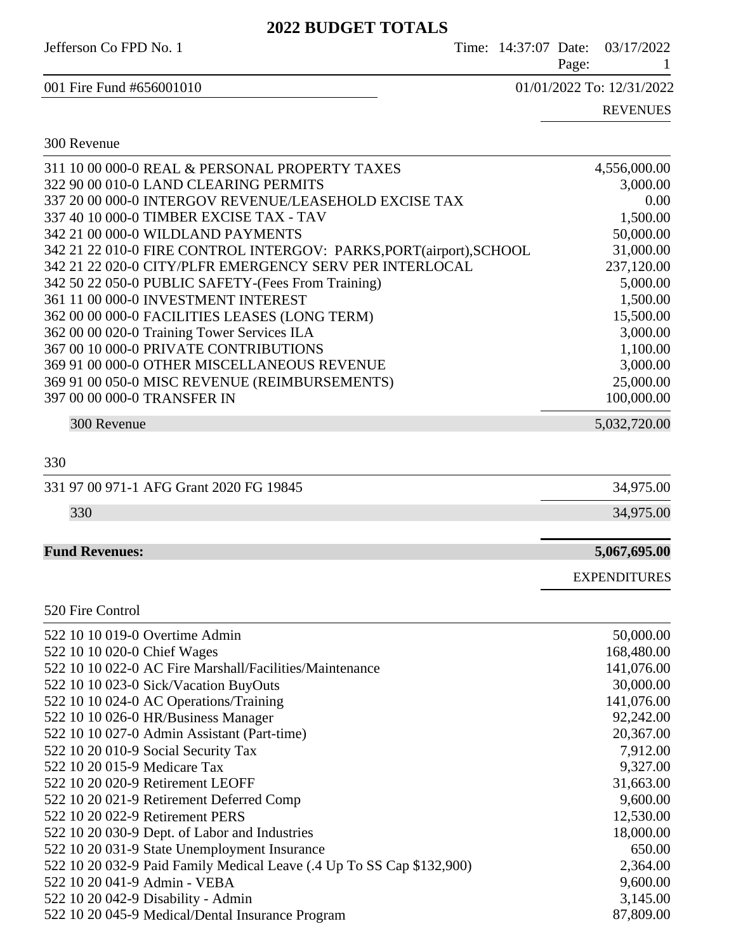| <i>AVAA</i> DUDVTET TVTALD                                          |  |       |                                 |
|---------------------------------------------------------------------|--|-------|---------------------------------|
| Jefferson Co FPD No. 1                                              |  | Page: | Time: 14:37:07 Date: 03/17/2022 |
| 001 Fire Fund #656001010                                            |  |       | 01/01/2022 To: 12/31/2022       |
|                                                                     |  |       | <b>REVENUES</b>                 |
| 300 Revenue                                                         |  |       |                                 |
| 311 10 00 000-0 REAL & PERSONAL PROPERTY TAXES                      |  |       | 4,556,000.00                    |
| 322 90 00 010-0 LAND CLEARING PERMITS                               |  |       | 3,000.00                        |
| 337 20 00 000-0 INTERGOV REVENUE/LEASEHOLD EXCISE TAX               |  |       | 0.00                            |
| 337 40 10 000-0 TIMBER EXCISE TAX - TAV                             |  |       | 1,500.00                        |
| 342 21 00 000-0 WILDLAND PAYMENTS                                   |  |       | 50,000.00                       |
| 342 21 22 010-0 FIRE CONTROL INTERGOV: PARKS, PORT(airport), SCHOOL |  |       | 31,000.00                       |
| 342 21 22 020-0 CITY/PLFR EMERGENCY SERV PER INTERLOCAL             |  |       | 237,120.00                      |
| 342 50 22 050-0 PUBLIC SAFETY-(Fees From Training)                  |  |       | 5,000.00                        |
| 361 11 00 000-0 INVESTMENT INTEREST                                 |  |       | 1,500.00                        |
| 362 00 00 000-0 FACILITIES LEASES (LONG TERM)                       |  |       | 15,500.00                       |
| 362 00 00 020-0 Training Tower Services ILA                         |  |       | 3,000.00                        |
| 367 00 10 000-0 PRIVATE CONTRIBUTIONS                               |  |       | 1,100.00                        |
| 369 91 00 000-0 OTHER MISCELLANEOUS REVENUE                         |  |       | 3,000.00                        |
| 369 91 00 050-0 MISC REVENUE (REIMBURSEMENTS)                       |  |       | 25,000.00                       |
| 397 00 00 000-0 TRANSFER IN                                         |  |       | 100,000.00                      |

300 Revenue 5,032,720.00

#### 330

| 331 97 00 971-1 AFG Grant 2020 FG 19845 | 34,975.00 |
|-----------------------------------------|-----------|
| 330                                     | 34,975.00 |
|                                         |           |

#### **Fund Revenues: 5,067,695.00**

520 Fire Control

EXPENDITURES

| 522 10 10 019-0 Overtime Admin                                        | 50,000.00  |
|-----------------------------------------------------------------------|------------|
| 522 10 10 020-0 Chief Wages                                           | 168,480.00 |
| 522 10 10 022-0 AC Fire Marshall/Facilities/Maintenance               | 141,076.00 |
| 522 10 10 023-0 Sick/Vacation BuyOuts                                 | 30,000.00  |
| 522 10 10 024-0 AC Operations/Training                                | 141,076.00 |
| 522 10 10 026-0 HR/Business Manager                                   | 92,242.00  |
| 522 10 10 027-0 Admin Assistant (Part-time)                           | 20,367.00  |
| 522 10 20 010-9 Social Security Tax                                   | 7,912.00   |
| 522 10 20 015-9 Medicare Tax                                          | 9,327.00   |
| 522 10 20 020-9 Retirement LEOFF                                      | 31,663.00  |
| 522 10 20 021-9 Retirement Deferred Comp                              | 9,600.00   |
| 522 10 20 022-9 Retirement PERS                                       | 12,530.00  |
| 522 10 20 030-9 Dept. of Labor and Industries                         | 18,000.00  |
| 522 10 20 031-9 State Unemployment Insurance                          | 650.00     |
| 522 10 20 032-9 Paid Family Medical Leave (.4 Up To SS Cap \$132,900) | 2,364.00   |
| 522 10 20 041-9 Admin - VEBA                                          | 9,600.00   |
| 522 10 20 042-9 Disability - Admin                                    | 3,145.00   |
| 522 10 20 045-9 Medical/Dental Insurance Program                      | 87,809.00  |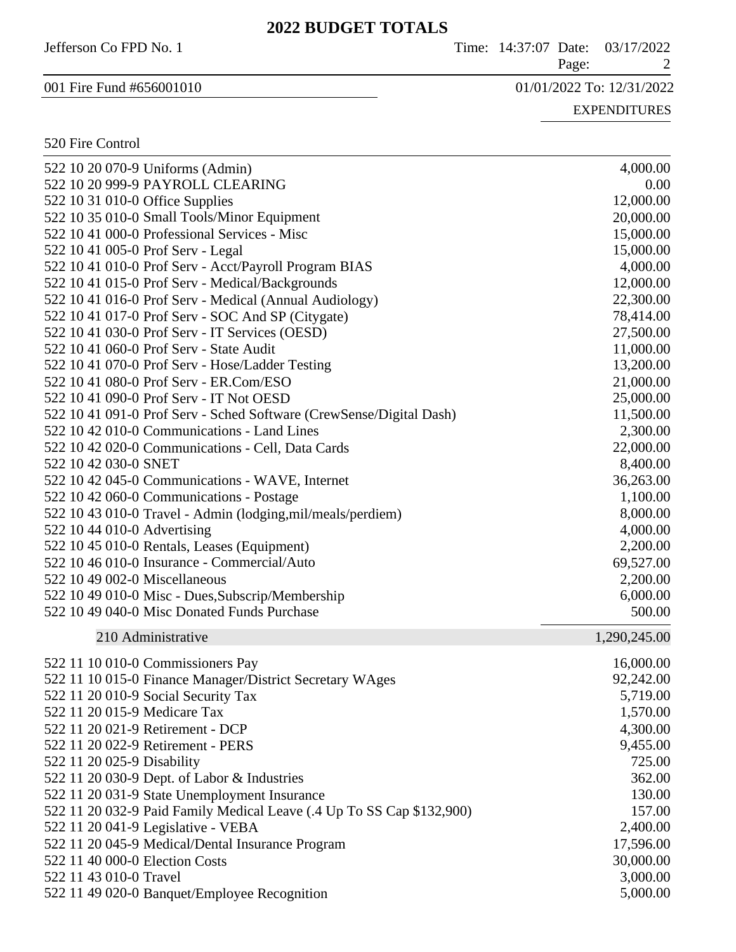Jefferson Co FPD No. 1 Time: 14:37:07 Date: 03/17/2022

Page: 2

001 Fire Fund #656001010 01/01/2022 To: 12/31/2022

EXPENDITURES

### 520 Fire Control

| 522 10 20 070-9 Uniforms (Admin)                                      | 4,000.00     |
|-----------------------------------------------------------------------|--------------|
| 522 10 20 999-9 PAYROLL CLEARING                                      | $0.00\,$     |
| 522 10 31 010-0 Office Supplies                                       | 12,000.00    |
| 522 10 35 010-0 Small Tools/Minor Equipment                           | 20,000.00    |
| 522 10 41 000-0 Professional Services - Misc                          | 15,000.00    |
| 522 10 41 005-0 Prof Serv - Legal                                     | 15,000.00    |
| 522 10 41 010-0 Prof Serv - Acct/Payroll Program BIAS                 | 4,000.00     |
| 522 10 41 015-0 Prof Serv - Medical/Backgrounds                       | 12,000.00    |
| 522 10 41 016-0 Prof Serv - Medical (Annual Audiology)                | 22,300.00    |
| 522 10 41 017-0 Prof Serv - SOC And SP (Citygate)                     | 78,414.00    |
| 522 10 41 030-0 Prof Serv - IT Services (OESD)                        | 27,500.00    |
| 522 10 41 060-0 Prof Serv - State Audit                               | 11,000.00    |
| 522 10 41 070-0 Prof Serv - Hose/Ladder Testing                       | 13,200.00    |
| 522 10 41 080-0 Prof Serv - ER.Com/ESO                                | 21,000.00    |
| 522 10 41 090-0 Prof Serv - IT Not OESD                               | 25,000.00    |
| 522 10 41 091-0 Prof Serv - Sched Software (CrewSense/Digital Dash)   | 11,500.00    |
| 522 10 42 010-0 Communications - Land Lines                           | 2,300.00     |
| 522 10 42 020-0 Communications - Cell, Data Cards                     | 22,000.00    |
| 522 10 42 030-0 SNET                                                  | 8,400.00     |
| 522 10 42 045-0 Communications - WAVE, Internet                       | 36,263.00    |
| 522 10 42 060-0 Communications - Postage                              | 1,100.00     |
| 522 10 43 010-0 Travel - Admin (lodging, mil/meals/perdiem)           | 8,000.00     |
| 522 10 44 010-0 Advertising                                           | 4,000.00     |
| 522 10 45 010-0 Rentals, Leases (Equipment)                           | 2,200.00     |
| 522 10 46 010-0 Insurance - Commercial/Auto                           | 69,527.00    |
| 522 10 49 002-0 Miscellaneous                                         | 2,200.00     |
| 522 10 49 010-0 Misc - Dues, Subscrip/Membership                      | 6,000.00     |
| 522 10 49 040-0 Misc Donated Funds Purchase                           | 500.00       |
| 210 Administrative                                                    | 1,290,245.00 |
| 522 11 10 010-0 Commissioners Pay                                     | 16,000.00    |
| 522 11 10 015-0 Finance Manager/District Secretary WAges              | 92,242.00    |
| 522 11 20 010-9 Social Security Tax                                   | 5,719.00     |
| 522 11 20 015-9 Medicare Tax                                          | 1,570.00     |
| 522 11 20 021-9 Retirement - DCP                                      | 4,300.00     |
| 522 11 20 022-9 Retirement - PERS                                     | 9,455.00     |
| 522 11 20 025-9 Disability                                            | 725.00       |
| 522 11 20 030-9 Dept. of Labor & Industries                           | 362.00       |
| 522 11 20 031-9 State Unemployment Insurance                          | 130.00       |
| 522 11 20 032-9 Paid Family Medical Leave (.4 Up To SS Cap \$132,900) | 157.00       |
| 522 11 20 041-9 Legislative - VEBA                                    | 2,400.00     |
| 522 11 20 045-9 Medical/Dental Insurance Program                      | 17,596.00    |
| 522 11 40 000-0 Election Costs                                        | 30,000.00    |
| 522 11 43 010-0 Travel                                                | 3,000.00     |
| 522 11 49 020-0 Banquet/Employee Recognition                          | 5,000.00     |
|                                                                       |              |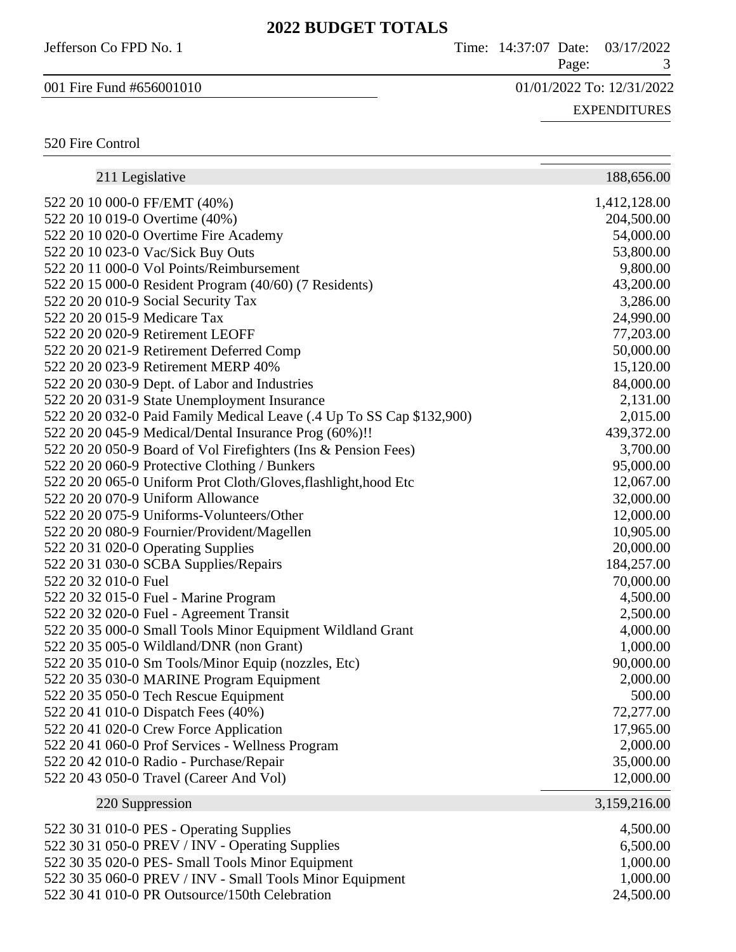| Jefferson Co FPD No. 1   | Time: 14:37:07 Date: 03/17/2022 |
|--------------------------|---------------------------------|
|                          | Page:                           |
| 001 Fire Fund #656001010 | 01/01/2022 To: 12/31/2022       |
|                          | <b>EXPENDITURES</b>             |
| 520 Fire Control         |                                 |

| 211 Legislative                                                       | 188,656.00   |
|-----------------------------------------------------------------------|--------------|
| 522 20 10 000-0 FF/EMT (40%)                                          | 1,412,128.00 |
| 522 20 10 019-0 Overtime (40%)                                        | 204,500.00   |
| 522 20 10 020-0 Overtime Fire Academy                                 | 54,000.00    |
| 522 20 10 023-0 Vac/Sick Buy Outs                                     | 53,800.00    |
| 522 20 11 000-0 Vol Points/Reimbursement                              | 9,800.00     |
| 522 20 15 000-0 Resident Program (40/60) (7 Residents)                | 43,200.00    |
| 522 20 20 010-9 Social Security Tax                                   | 3,286.00     |
| 522 20 20 015-9 Medicare Tax                                          | 24,990.00    |
| 522 20 20 020-9 Retirement LEOFF                                      | 77,203.00    |
| 522 20 20 021-9 Retirement Deferred Comp                              | 50,000.00    |
| 522 20 20 023-9 Retirement MERP 40%                                   | 15,120.00    |
| 522 20 20 030-9 Dept. of Labor and Industries                         | 84,000.00    |
| 522 20 20 031-9 State Unemployment Insurance                          | 2,131.00     |
| 522 20 20 032-0 Paid Family Medical Leave (.4 Up To SS Cap \$132,900) | 2,015.00     |
| 522 20 20 045-9 Medical/Dental Insurance Prog (60%)!!                 | 439,372.00   |
| 522 20 20 050-9 Board of Vol Firefighters (Ins & Pension Fees)        | 3,700.00     |
| 522 20 20 060-9 Protective Clothing / Bunkers                         | 95,000.00    |
| 522 20 20 065-0 Uniform Prot Cloth/Gloves, flashlight, hood Etc       | 12,067.00    |
| 522 20 20 070-9 Uniform Allowance                                     | 32,000.00    |
| 522 20 20 075-9 Uniforms-Volunteers/Other                             | 12,000.00    |
| 522 20 20 080-9 Fournier/Provident/Magellen                           | 10,905.00    |
| 522 20 31 020-0 Operating Supplies                                    | 20,000.00    |
| 522 20 31 030-0 SCBA Supplies/Repairs                                 | 184,257.00   |
| 522 20 32 010-0 Fuel                                                  | 70,000.00    |
| 522 20 32 015-0 Fuel - Marine Program                                 | 4,500.00     |
| 522 20 32 020-0 Fuel - Agreement Transit                              | 2,500.00     |
| 522 20 35 000-0 Small Tools Minor Equipment Wildland Grant            | 4,000.00     |
| 522 20 35 005-0 Wildland/DNR (non Grant)                              | 1,000.00     |
| 522 20 35 010-0 Sm Tools/Minor Equip (nozzles, Etc)                   | 90,000.00    |
| 522 20 35 030-0 MARINE Program Equipment                              | 2,000.00     |
| 522 20 35 050-0 Tech Rescue Equipment                                 | 500.00       |
| 522 20 41 010-0 Dispatch Fees (40%)                                   | 72,277.00    |
| 522 20 41 020-0 Crew Force Application                                | 17,965.00    |
| 522 20 41 060-0 Prof Services - Wellness Program                      | 2,000.00     |
| 522 20 42 010-0 Radio - Purchase/Repair                               | 35,000.00    |
| 522 20 43 050-0 Travel (Career And Vol)                               | 12,000.00    |
| 220 Suppression                                                       | 3,159,216.00 |
| 522 30 31 010-0 PES - Operating Supplies                              | 4,500.00     |
| 522 30 31 050-0 PREV / INV - Operating Supplies                       | 6,500.00     |
| 522 30 35 020-0 PES- Small Tools Minor Equipment                      | 1,000.00     |
| 522 30 35 060-0 PREV / INV - Small Tools Minor Equipment              | 1,000.00     |
| 522 30 41 010-0 PR Outsource/150th Celebration                        | 24,500.00    |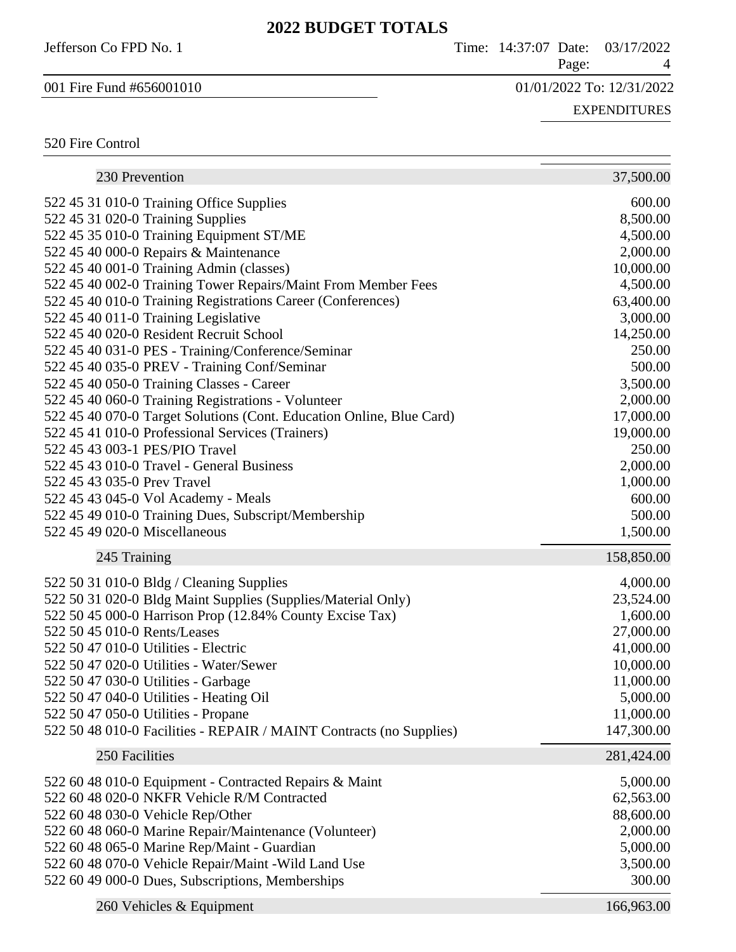Jefferson Co FPD No. 1 Time: 14:37:07 Date: 03/17/2022 Page: 4 001 Fire Fund #656001010 01/01/2022 To: 12/31/2022 EXPENDITURES 520 Fire Control  $\sim$ 

| 230 Prevention                                                       | 37,500.00  |
|----------------------------------------------------------------------|------------|
| 522 45 31 010-0 Training Office Supplies                             | 600.00     |
| 522 45 31 020-0 Training Supplies                                    | 8,500.00   |
| 522 45 35 010-0 Training Equipment ST/ME                             | 4,500.00   |
| 522 45 40 000-0 Repairs & Maintenance                                | 2,000.00   |
| 522 45 40 001-0 Training Admin (classes)                             | 10,000.00  |
| 522 45 40 002-0 Training Tower Repairs/Maint From Member Fees        | 4,500.00   |
| 522 45 40 010-0 Training Registrations Career (Conferences)          | 63,400.00  |
| 522 45 40 011-0 Training Legislative                                 | 3,000.00   |
| 522 45 40 020-0 Resident Recruit School                              | 14,250.00  |
| 522 45 40 031-0 PES - Training/Conference/Seminar                    | 250.00     |
| 522 45 40 035-0 PREV - Training Conf/Seminar                         | 500.00     |
| 522 45 40 050-0 Training Classes - Career                            | 3,500.00   |
| 522 45 40 060-0 Training Registrations - Volunteer                   | 2,000.00   |
| 522 45 40 070-0 Target Solutions (Cont. Education Online, Blue Card) | 17,000.00  |
| 522 45 41 010-0 Professional Services (Trainers)                     | 19,000.00  |
| 522 45 43 003-1 PES/PIO Travel                                       | 250.00     |
| 522 45 43 010-0 Travel - General Business                            | 2,000.00   |
| 522 45 43 035-0 Prev Travel                                          | 1,000.00   |
| 522 45 43 045-0 Vol Academy - Meals                                  | 600.00     |
| 522 45 49 010-0 Training Dues, Subscript/Membership                  | 500.00     |
| 522 45 49 020-0 Miscellaneous                                        | 1,500.00   |
|                                                                      |            |
| 245 Training                                                         | 158,850.00 |
|                                                                      |            |
| 522 50 31 010-0 Bldg / Cleaning Supplies                             | 4,000.00   |
| 522 50 31 020-0 Bldg Maint Supplies (Supplies/Material Only)         | 23,524.00  |
| 522 50 45 000-0 Harrison Prop (12.84% County Excise Tax)             | 1,600.00   |
| 522 50 45 010-0 Rents/Leases                                         | 27,000.00  |
| 522 50 47 010-0 Utilities - Electric                                 | 41,000.00  |
| 522 50 47 020-0 Utilities - Water/Sewer                              | 10,000.00  |
| 522 50 47 030-0 Utilities - Garbage                                  | 11,000.00  |
| 522 50 47 040-0 Utilities - Heating Oil                              | 5,000.00   |
| 522 50 47 050-0 Utilities - Propane                                  | 11,000.00  |
| 522 50 48 010-0 Facilities - REPAIR / MAINT Contracts (no Supplies)  | 147,300.00 |
| 250 Facilities                                                       | 281,424.00 |
| 522 60 48 010-0 Equipment - Contracted Repairs & Maint               | 5,000.00   |
| 522 60 48 020-0 NKFR Vehicle R/M Contracted                          | 62,563.00  |
| 522 60 48 030-0 Vehicle Rep/Other                                    | 88,600.00  |
| 522 60 48 060-0 Marine Repair/Maintenance (Volunteer)                | 2,000.00   |
| 522 60 48 065-0 Marine Rep/Maint - Guardian                          | 5,000.00   |
| 522 60 48 070-0 Vehicle Repair/Maint -Wild Land Use                  | 3,500.00   |
| 522 60 49 000-0 Dues, Subscriptions, Memberships                     | 300.00     |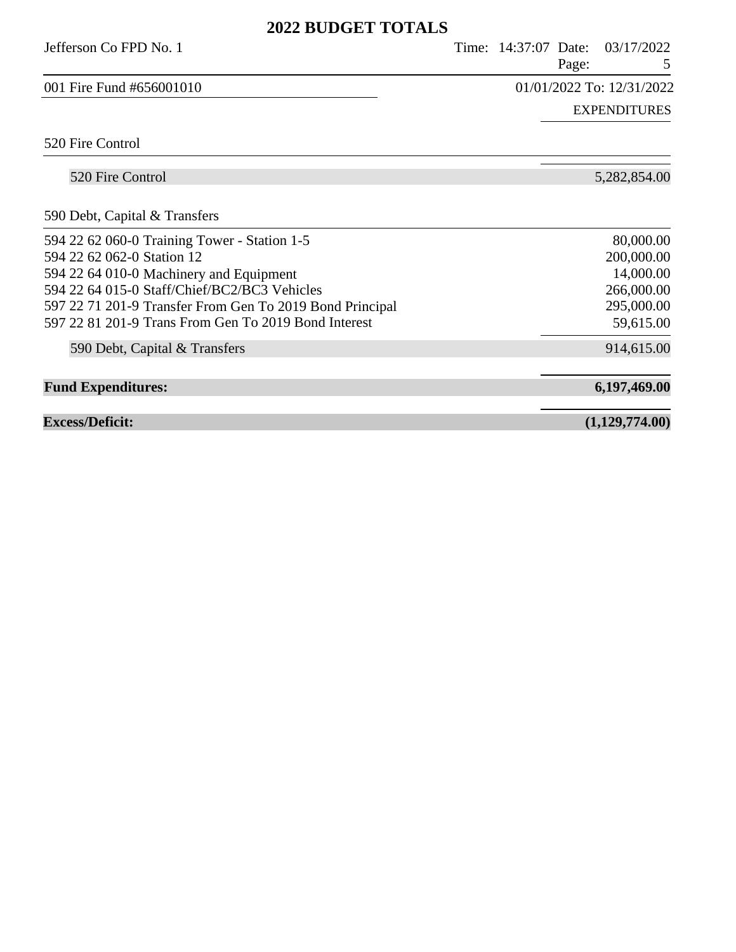| Jefferson Co FPD No. 1                                   | Time: 14:37:07 Date:<br>Page: | 03/17/2022<br>5           |
|----------------------------------------------------------|-------------------------------|---------------------------|
| 001 Fire Fund #656001010                                 |                               | 01/01/2022 To: 12/31/2022 |
|                                                          |                               | <b>EXPENDITURES</b>       |
| 520 Fire Control                                         |                               |                           |
| 520 Fire Control                                         |                               | 5,282,854.00              |
| 590 Debt, Capital & Transfers                            |                               |                           |
| 594 22 62 060-0 Training Tower - Station 1-5             |                               | 80,000.00                 |
| 594 22 62 062-0 Station 12                               |                               | 200,000.00                |
| 594 22 64 010-0 Machinery and Equipment                  |                               | 14,000.00                 |
| 594 22 64 015-0 Staff/Chief/BC2/BC3 Vehicles             |                               | 266,000.00                |
| 597 22 71 201-9 Transfer From Gen To 2019 Bond Principal |                               | 295,000.00                |
| 597 22 81 201-9 Trans From Gen To 2019 Bond Interest     |                               | 59,615.00                 |
| 590 Debt, Capital & Transfers                            |                               | 914,615.00                |
| <b>Fund Expenditures:</b>                                |                               | 6,197,469.00              |
| <b>Excess/Deficit:</b>                                   |                               | (1,129,774.00)            |